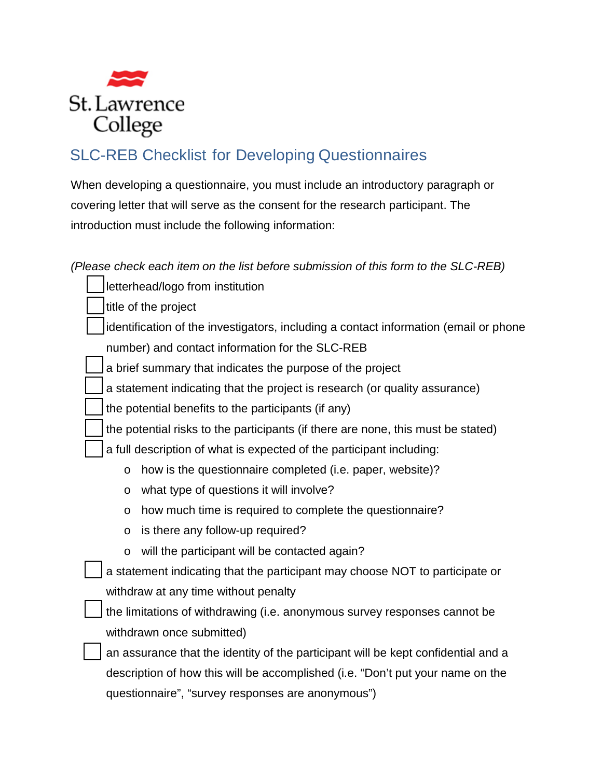

## SLC-REB Checklist for Developing Questionnaires

When developing a questionnaire, you must include an introductory paragraph or covering letter that will serve as the consent for the research participant. The introduction must include the following information:

*(Please check each item on the list before submission of this form to the SLC-REB)* 

letterhead/logo from institution

title of the project

 identification of the investigators, including a contact information (email or phone number) and contact information for the SLC-REB

a brief summary that indicates the purpose of the project

a statement indicating that the project is research (or quality assurance)

the potential benefits to the participants (if any)

the potential risks to the participants (if there are none, this must be stated)

a full description of what is expected of the participant including:

- o how is the questionnaire completed (i.e. paper, website)?
- o what type of questions it will involve?
- o how much time is required to complete the questionnaire?
- o is there any follow-up required?
- o will the participant will be contacted again?
- a statement indicating that the participant may choose NOT to participate or withdraw at any time without penalty
- the limitations of withdrawing (i.e. anonymous survey responses cannot be withdrawn once submitted)

 an assurance that the identity of the participant will be kept confidential and a description of how this will be accomplished (i.e. "Don't put your name on the questionnaire", "survey responses are anonymous")